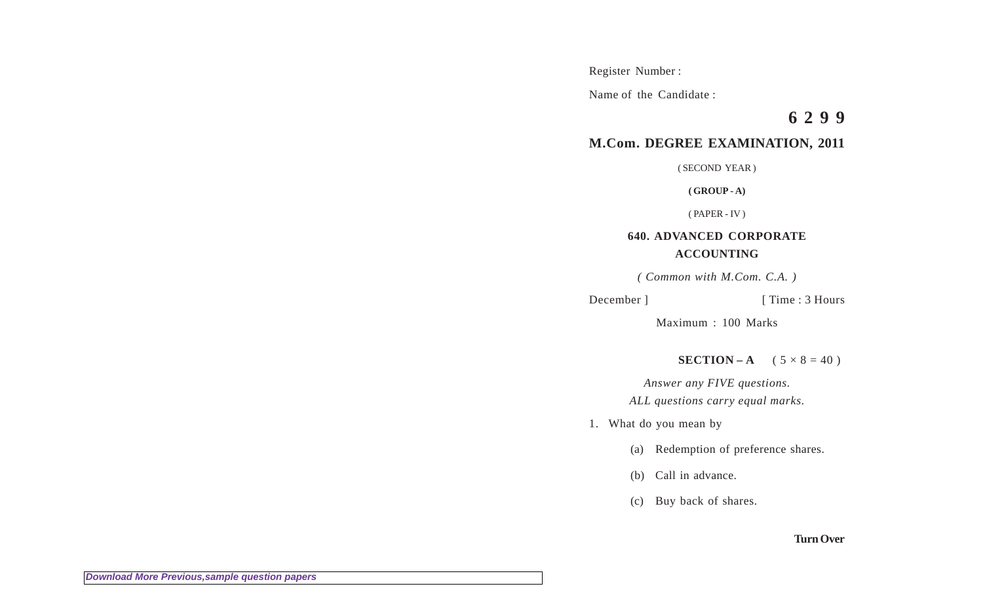Register Number :

Name of the Candidate :

# **6 2 9 9**

## **M.Com. DEGREE EXAMINATION, 2011**

( SECOND YEAR )

**( GROUP - A)**

( PAPER - IV )

### **640. ADVANCED CORPORATE ACCOUNTING**

*( Common with M.Com. C.A. )*

December ] [ Time : 3 Hours

Maximum : 100 Marks

**SECTION – A**  $(5 \times 8 = 40)$ 

*Answer any FIVE questions. ALL questions carry equal marks.*

1. What do you mean by

(a) Redemption of preference shares.

(b) Call in advance.

(c) Buy back of shares.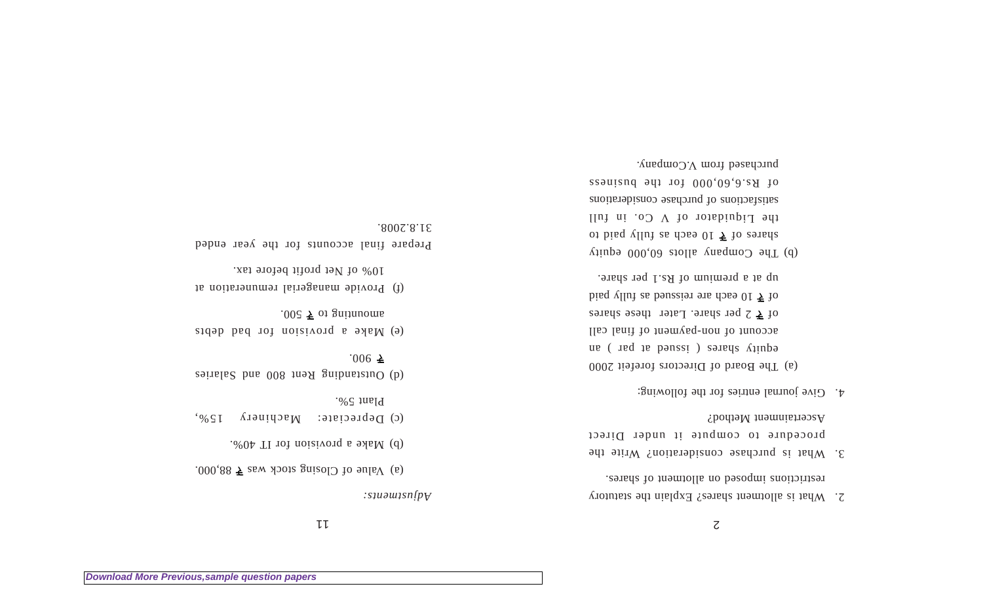$|l|$ 

*Adjustments:*

.000.88  $\overline{5}$  as *stock* was  $\overline{7}$  88,000.

 $.604$  TI 101 noisivoid a bland (d)

(c) Depreciate: Machinery 15%,  $\cdot\%$   $\zeta$  and  $\zeta$ 

(d) Outstanding Rent 800 and Salaries  $.006 \; \text{\AA}$ 

end a provision for bad debts  $.005 \overline{5}$  of gaintuoms

(f) Provide managerial remuneration at 10% of Net profit before tax.

Prepare final accounts for the year ended 31.8.2008.

 $\zeta$ 

- 2. What is allotment shares? Explain the statutory restrictions imposed on allotment of shares.
- 3. What is purchase consideration? Write the procedure to compute it under Direct Ascertainment Method?
- 4. Give journal entries for the following:

(a) The Board of Directors forefeit 2000 eduity shares ( issued at par ) an account of non-payment of final call of  $\overline{z}$  ber share. Later these shares bisq villa as bauseion are doen  $\sqrt{2}$  be  $\sqrt{10}$ up at a premium of Rs.1 per share.

 $\chi$ inpa  $000,000$  atolla  $\chi$ mang equity of bind values of  $\overline{z}$  be denoted by paid to the Liquidator of V Co. in full suotisfactions of purchase considerations of Rs.6,60,000 for the business purchased from V.Company.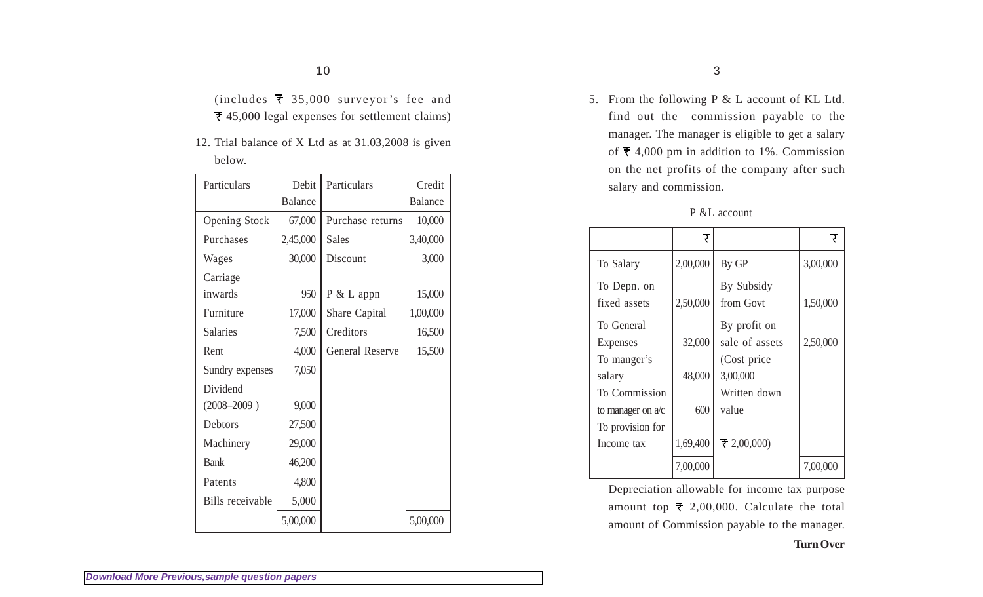(includes  $\overline{\tau}$  35,000 surveyor's fee and 45,000 legal expenses for settlement claims)

12. Trial balance of X Ltd as at 31.03,2008 is given below.

| Particulars             | Debit          | Particulars            | Credit         |
|-------------------------|----------------|------------------------|----------------|
|                         | <b>Balance</b> |                        | <b>Balance</b> |
| <b>Opening Stock</b>    | 67,000         | Purchase returns       | 10,000         |
| Purchases               | 2,45,000       | <b>Sales</b>           | 3,40,000       |
| Wages                   | 30,000         | Discount               | 3,000          |
| Carriage                |                |                        |                |
| inwards                 | 950            | P & L appn             | 15,000         |
| Furniture               | 17,000         | Share Capital          | 1,00,000       |
| <b>Salaries</b>         | 7,500          | Creditors              | 16,500         |
| Rent                    | 4,000          | <b>General Reserve</b> | 15,500         |
| Sundry expenses         | 7,050          |                        |                |
| Dividend                |                |                        |                |
| $(2008 - 2009)$         | 9,000          |                        |                |
| Debtors                 | 27,500         |                        |                |
| Machinery               | 29,000         |                        |                |
| <b>Bank</b>             | 46,200         |                        |                |
| Patents                 | 4,800          |                        |                |
| <b>Bills</b> receivable | 5,000          |                        |                |
|                         | 5,00,000       |                        | 5,00,000       |

5. From the following P & L account of KL Ltd. find out the commission payable to the manager. The manager is eligible to get a salary of  $\overline{\tau}$  4,000 pm in addition to 1%. Commission on the net profits of the company after such salary and commission.

|                             | ₹        |                                | ₹        |
|-----------------------------|----------|--------------------------------|----------|
| To Salary                   | 2,00,000 | By GP                          | 3,00,000 |
| To Depn. on<br>fixed assets | 2,50,000 | By Subsidy<br>from Govt        | 1,50,000 |
| To General                  | 32,000   | By profit on<br>sale of assets |          |
| Expenses<br>To manger's     |          | (Cost price)                   | 2,50,000 |
| salary                      | 48,000   | 3,00,000                       |          |
| To Commission               |          | Written down                   |          |
| to manager on $a/c$         | 600      | value                          |          |
| To provision for            |          |                                |          |
| Income tax                  | 1,69,400 | $\pm 2,00,000$                 |          |
|                             | 7,00,000 |                                | 7,00,000 |

P &L account

Depreciation allowable for income tax purpose amount top  $\bar{\tau}$  2,00,000. Calculate the total amount of Commission payable to the manager.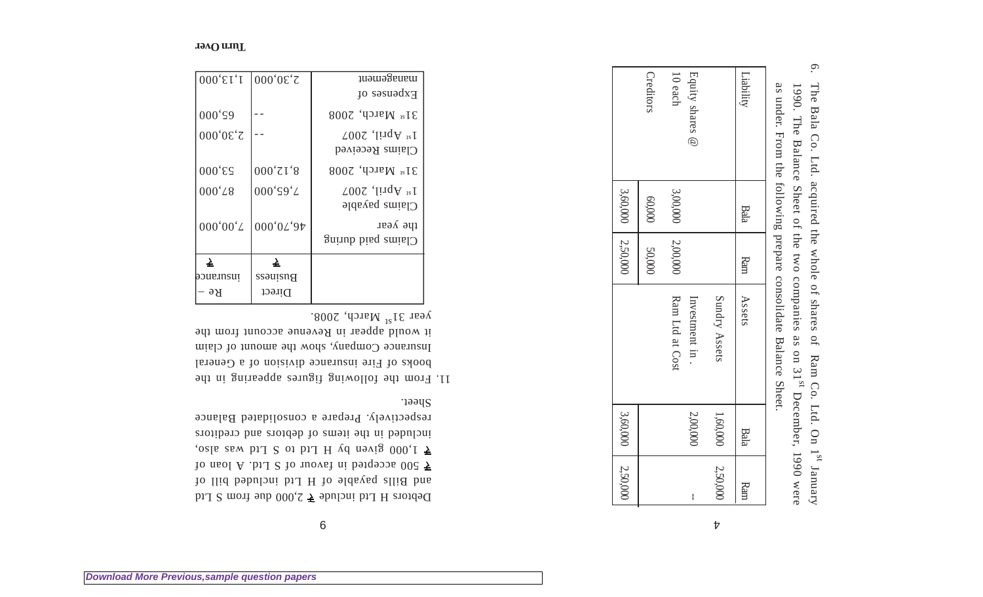| as under. From the following prepare consolidate Balance Sheet. | 1990. The Balance Sheember, 1990 were as on 31 <sup>st</sup> . December and the tot the compare Sheem of the Balance Sheem | 6. The Bala Co. Ltd. acquired the whole of shares of Ram Co. Ltd. On 1 <sup>st</sup> January |
|-----------------------------------------------------------------|----------------------------------------------------------------------------------------------------------------------------|----------------------------------------------------------------------------------------------|

|         | 3,60,000 2,50,000 |                 |               | 3,60,000 2,50,000 |                 |
|---------|-------------------|-----------------|---------------|-------------------|-----------------|
|         |                   |                 | <b>50,000</b> | 000'09            | <b>Creditor</b> |
|         |                   | Ram Ltd at Cost | 12,00,000     | 3,00,000          | 10 each         |
| I       | 2,00,000          | Investment in.  |               |                   | Equity shares @ |
| 2,50,00 | 1,60,000          | Sundry Assets   |               |                   |                 |
| Ram     | Bala              | Assets          | Ram           | <b>Bala</b>       | Liability       |

9

Debtors H Ltd include  $\bar{\xi}$  2,000 due from S Ltd and Bills payable of H Ltd included bill of  $\overline{2}$  500 accepted in favour of  $S$  loan of  $1,000$  given by H Ltd to S Ltd was also, included in the items of debtors and creditors respectively. Prepare a consolidated Balance Sheet.

11. From the following figures appearing in the books of Fire insurance division of a General Insurance Company, show the amount of claim it would appear in Revenue account from the year  $31^{31}$  March, 2008.

| $ 000,\epsilon$ <sub>I</sub> , I | $ 000'0 \epsilon$ 'Z | management                                       |
|----------------------------------|----------------------|--------------------------------------------------|
|                                  |                      | Expenses of                                      |
| 000's9                           |                      | $31st$ March, 2008                               |
| 2,30,000                         |                      | $1^{st}$ April, 2007<br>$\bigcup$ laims Received |
| $000 \text{'}\text{ES}$          | 000'71'8             | $31st$ March, 2008                               |
| 000 <sup>'</sup> L8              | 000'S9'L             | $1^{st}$ April, 2007<br>$Clains$ payable         |
| 000'00'                          | 000'0L'97            | rpe $\lambda$ est<br>$S$ uinp ping sminl         |
| 上<br>                            | ₹                    |                                                  |
| poueinsui                        | Business             |                                                  |
| Bе                               | Direct               |                                                  |

**[Download More Previous,sample question papers](http://downloadmela.com/pages/previouspapers/previouspapers.html)**

 $\mathcal{V}$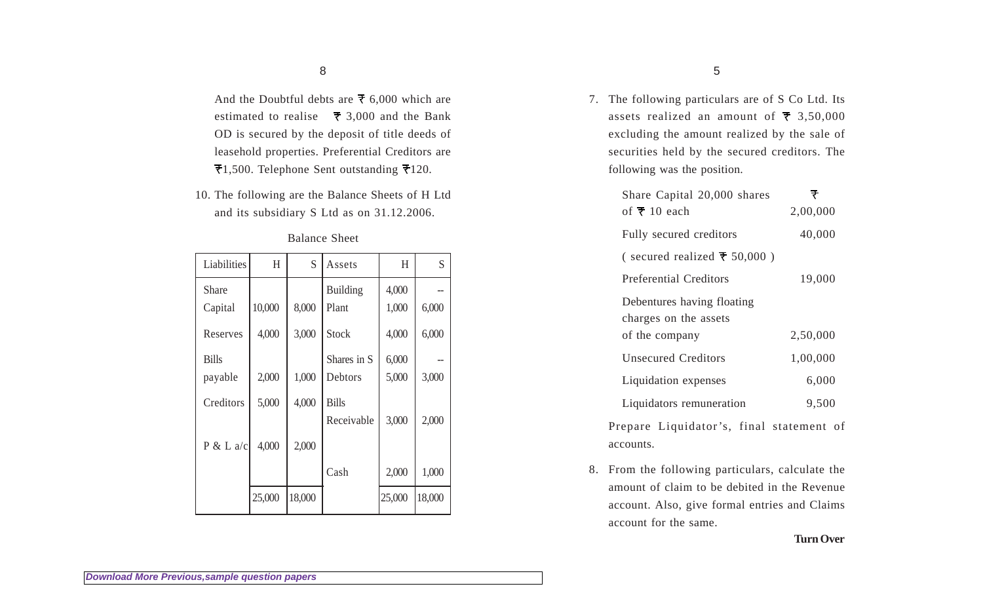And the Doubtful debts are  $\bar{\tau}$  6,000 which are estimated to realise  $\overline{5}$  3,000 and the Bank OD is secured by the deposit of title deeds of leasehold properties. Preferential Creditors are  $\overline{\tau}$ 1,500. Telephone Sent outstanding  $\overline{\tau}$ 120.

10. The following are the Balance Sheets of H Ltd and its subsidiary S Ltd as on 31.12.2006.

| Liabilities  | H      | S      | Assets          | H      | S      |
|--------------|--------|--------|-----------------|--------|--------|
| <b>Share</b> |        |        | <b>Building</b> | 4,000  |        |
| Capital      | 10,000 | 8,000  | Plant           | 1,000  | 6,000  |
| Reserves     | 4,000  | 3,000  | <b>Stock</b>    | 4,000  | 6,000  |
| <b>Bills</b> |        |        | Shares in S     | 6,000  |        |
| payable      | 2,000  | 1,000  | Debtors         | 5,000  | 3,000  |
| Creditors    | 5,000  | 4,000  | <b>Bills</b>    |        |        |
|              |        |        | Receivable      | 3,000  | 2,000  |
| P & L a/c    | 4,000  | 2,000  |                 |        |        |
|              |        |        | Cash            | 2,000  | 1,000  |
|              | 25,000 | 18,000 |                 | 25,000 | 18,000 |

#### Balance Sheet

7. The following particulars are of S Co Ltd. Its assets realized an amount of  $\overline{z}$  3,50,000 excluding the amount realized by the sale of securities held by the secured creditors. The following was the position.

| Share Capital 20,000 shares                         |          |
|-----------------------------------------------------|----------|
| of $\overline{\mathbf{z}}$ 10 each                  | 2,00,000 |
| Fully secured creditors                             | 40,000   |
| (secured realized $\overline{\tau}$ 50,000)         |          |
| Preferential Creditors                              | 19,000   |
| Debentures having floating<br>charges on the assets |          |
| of the company                                      | 2,50,000 |
| <b>Unsecured Creditors</b>                          | 1,00,000 |
| Liquidation expenses                                | 6,000    |
| Liquidators remuneration                            | 9,500    |

Prepare Liquidator's, final statement of accounts.

8. From the following particulars, calculate the amount of claim to be debited in the Revenue account. Also, give formal entries and Claims account for the same.